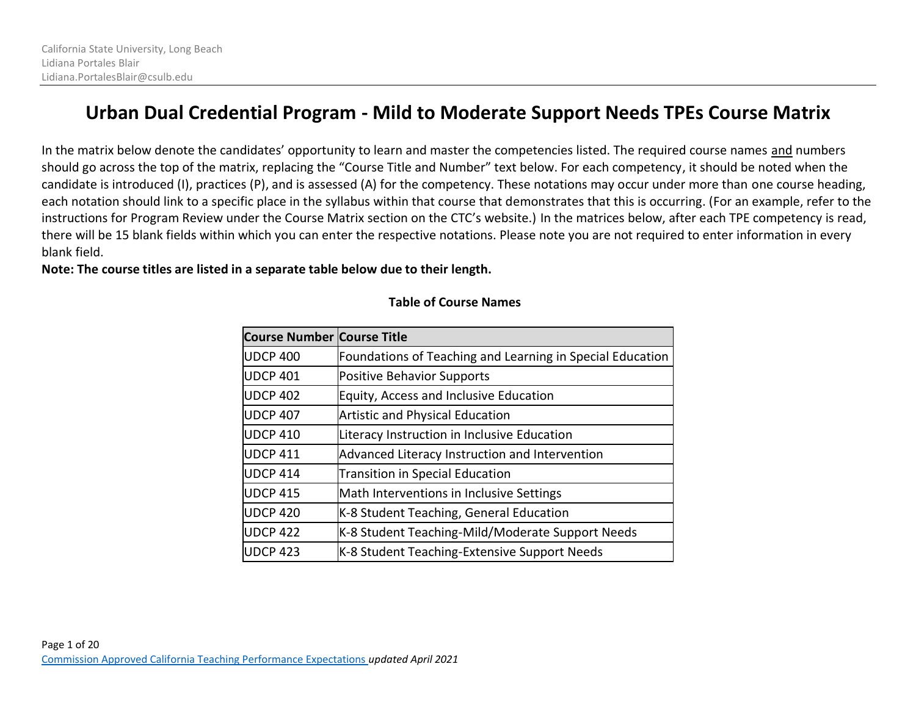# **Urban Dual Credential Program - Mild to Moderate Support Needs TPEs Course Matrix**

In the matrix below denote the candidates' opportunity to learn and master the competencies listed. The required course names and numbers should go across the top of the matrix, replacing the "Course Title and Number" text below. For each competency, it should be noted when the candidate is introduced (I), practices (P), and is assessed (A) for the competency. These notations may occur under more than one course heading, each notation should link to a specific place in the syllabus within that course that demonstrates that this is occurring. (For an example, refer to the instructions for Program Review under the Course Matrix section on the CTC's website.) In the matrices below, after each TPE competency is read, there will be 15 blank fields within which you can enter the respective notations. Please note you are not required to enter information in every blank field.

**Note: The course titles are listed in a separate table below due to their length.**

## **Table of Course Names**

| <b>Course Number Course Title</b> |                                                           |
|-----------------------------------|-----------------------------------------------------------|
| <b>UDCP 400</b>                   | Foundations of Teaching and Learning in Special Education |
| <b>UDCP 401</b>                   | <b>Positive Behavior Supports</b>                         |
| <b>UDCP 402</b>                   | Equity, Access and Inclusive Education                    |
| <b>UDCP 407</b>                   | <b>Artistic and Physical Education</b>                    |
| <b>UDCP 410</b>                   | Literacy Instruction in Inclusive Education               |
| <b>UDCP 411</b>                   | Advanced Literacy Instruction and Intervention            |
| <b>UDCP 414</b>                   | <b>Transition in Special Education</b>                    |
| <b>UDCP 415</b>                   | Math Interventions in Inclusive Settings                  |
| <b>UDCP 420</b>                   | K-8 Student Teaching, General Education                   |
| <b>UDCP 422</b>                   | K-8 Student Teaching-Mild/Moderate Support Needs          |
| <b>UDCP 423</b>                   | K-8 Student Teaching-Extensive Support Needs              |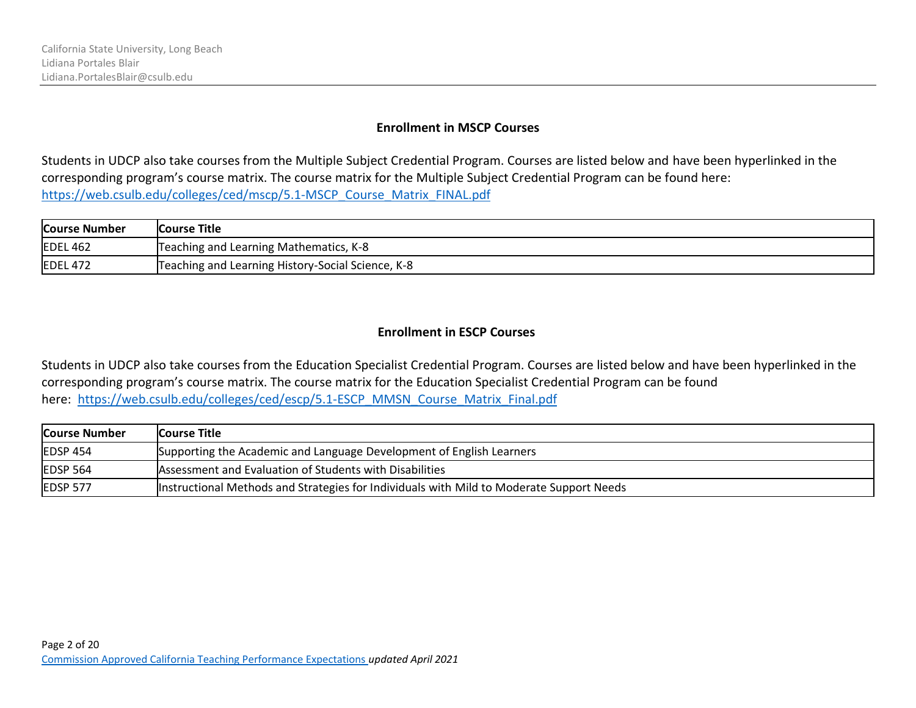#### **Enrollment in MSCP Courses**

Students in UDCP also take courses from the Multiple Subject Credential Program. Courses are listed below and have been hyperlinked in the corresponding program's course matrix. The course matrix for the Multiple Subject Credential Program can be found here: [https://web.csulb.edu/colleges/ced/mscp/5.1-MSCP\\_Course\\_Matrix\\_FINAL.pdf](https://web.csulb.edu/colleges/ced/mscp/5.1-MSCP_Course_Matrix_FINAL.pdf)

| <b>Course Number</b> | <b>Course Title</b>                               |
|----------------------|---------------------------------------------------|
| <b>EDEL 462</b>      | Teaching and Learning Mathematics, K-8            |
| EDEL 472             | Teaching and Learning History-Social Science, K-8 |

#### **Enrollment in ESCP Courses**

Students in UDCP also take courses from the Education Specialist Credential Program. Courses are listed below and have been hyperlinked in the corresponding program's course matrix. The course matrix for the Education Specialist Credential Program can be found here: [https://web.csulb.edu/colleges/ced/escp/5.1-ESCP\\_MMSN\\_Course\\_Matrix\\_Final.pdf](https://web.csulb.edu/colleges/ced/escp/5.1-ESCP_MMSN_Course_Matrix_Final.pdf)

| <b>Course Number</b> | <b>Course Title</b>                                                                      |
|----------------------|------------------------------------------------------------------------------------------|
| EDSP 454             | Supporting the Academic and Language Development of English Learners                     |
| <b>EDSP 564</b>      | Assessment and Evaluation of Students with Disabilities                                  |
| <b>IEDSP 577</b>     | Instructional Methods and Strategies for Individuals with Mild to Moderate Support Needs |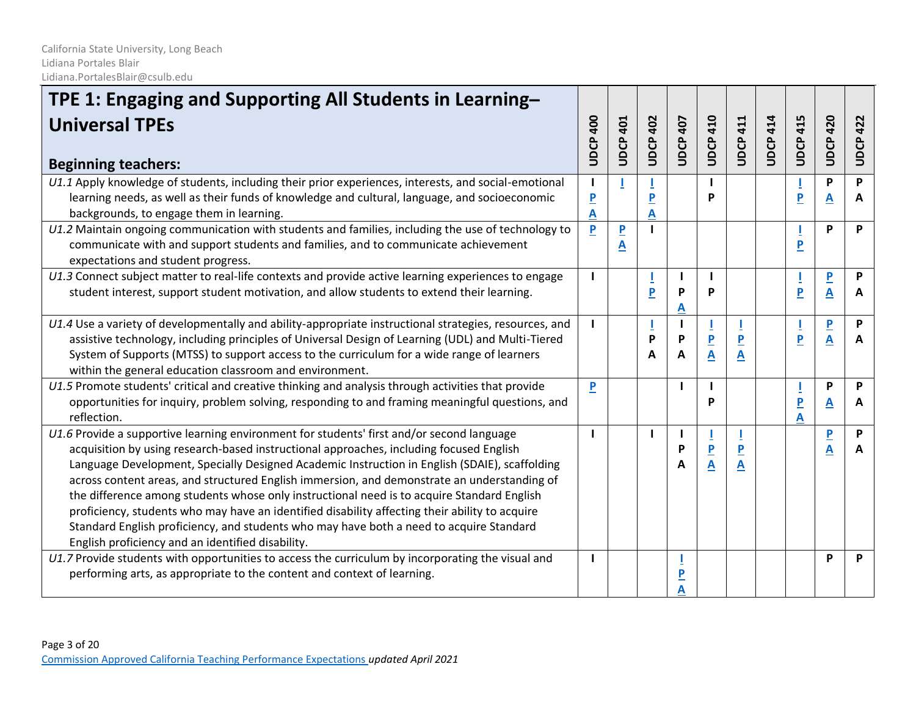| TPE 1: Engaging and Supporting All Students in Learning-<br><b>Universal TPEs</b><br><b>Beginning teachers:</b>                                                                                                                                                                                                                                                                                                                                                                                                                                                                                                                                                                                                                      | UDCP 400                                                  | <b>UDCP 401</b>              | <b>UDCP 402</b> | UDCP 407 | <b>UDCP 410</b>                                    | <b>UDCP 411</b> | <b>UDCP 414</b> | <b>UDCP 415</b>              | 420<br><b>UDCP</b>  | <b>UDCP 422</b> |
|--------------------------------------------------------------------------------------------------------------------------------------------------------------------------------------------------------------------------------------------------------------------------------------------------------------------------------------------------------------------------------------------------------------------------------------------------------------------------------------------------------------------------------------------------------------------------------------------------------------------------------------------------------------------------------------------------------------------------------------|-----------------------------------------------------------|------------------------------|-----------------|----------|----------------------------------------------------|-----------------|-----------------|------------------------------|---------------------|-----------------|
| U1.1 Apply knowledge of students, including their prior experiences, interests, and social-emotional<br>learning needs, as well as their funds of knowledge and cultural, language, and socioeconomic<br>backgrounds, to engage them in learning.                                                                                                                                                                                                                                                                                                                                                                                                                                                                                    | $\mathbf{I}$<br>$\overline{\mathbf{P}}$<br>$\overline{A}$ | I                            | P<br>Α          |          | $\mathbf{I}$<br>P                                  |                 |                 | P                            | P<br>A              | P<br>A          |
| U1.2 Maintain ongoing communication with students and families, including the use of technology to<br>communicate with and support students and families, and to communicate achievement<br>expectations and student progress.                                                                                                                                                                                                                                                                                                                                                                                                                                                                                                       | P                                                         | $\overline{\mathsf{P}}$<br>A |                 |          |                                                    |                 |                 | $\overline{P}$               | P                   | P               |
| U1.3 Connect subject matter to real-life contexts and provide active learning experiences to engage<br>student interest, support student motivation, and allow students to extend their learning.                                                                                                                                                                                                                                                                                                                                                                                                                                                                                                                                    |                                                           |                              | P               | P        | $\mathbf{I}$<br>P                                  |                 |                 | P                            | P<br>A              | P<br>A          |
| U1.4 Use a variety of developmentally and ability-appropriate instructional strategies, resources, and<br>assistive technology, including principles of Universal Design of Learning (UDL) and Multi-Tiered<br>System of Supports (MTSS) to support access to the curriculum for a wide range of learners<br>within the general education classroom and environment.                                                                                                                                                                                                                                                                                                                                                                 |                                                           |                              | P<br>A          | P<br>A   | $\overline{\mathbf{P}}$<br>$\overline{\mathsf{A}}$ | A               |                 | P                            | P<br>A              | P<br>A          |
| U1.5 Promote students' critical and creative thinking and analysis through activities that provide<br>opportunities for inquiry, problem solving, responding to and framing meaningful questions, and<br>reflection.                                                                                                                                                                                                                                                                                                                                                                                                                                                                                                                 | P                                                         |                              |                 |          | $\mathbf{I}$<br>P                                  |                 |                 | $\overline{\mathsf{P}}$<br>A | P<br>A              | P<br>A          |
| U1.6 Provide a supportive learning environment for students' first and/or second language<br>acquisition by using research-based instructional approaches, including focused English<br>Language Development, Specially Designed Academic Instruction in English (SDAIE), scaffolding<br>across content areas, and structured English immersion, and demonstrate an understanding of<br>the difference among students whose only instructional need is to acquire Standard English<br>proficiency, students who may have an identified disability affecting their ability to acquire<br>Standard English proficiency, and students who may have both a need to acquire Standard<br>English proficiency and an identified disability. |                                                           |                              |                 | P<br>A   | $\overline{\mathbf{P}}$<br>A                       | A               |                 |                              | $\overline{P}$<br>A | P<br>A          |
| U1.7 Provide students with opportunities to access the curriculum by incorporating the visual and<br>performing arts, as appropriate to the content and context of learning.                                                                                                                                                                                                                                                                                                                                                                                                                                                                                                                                                         |                                                           |                              |                 |          |                                                    |                 |                 |                              | P                   | P               |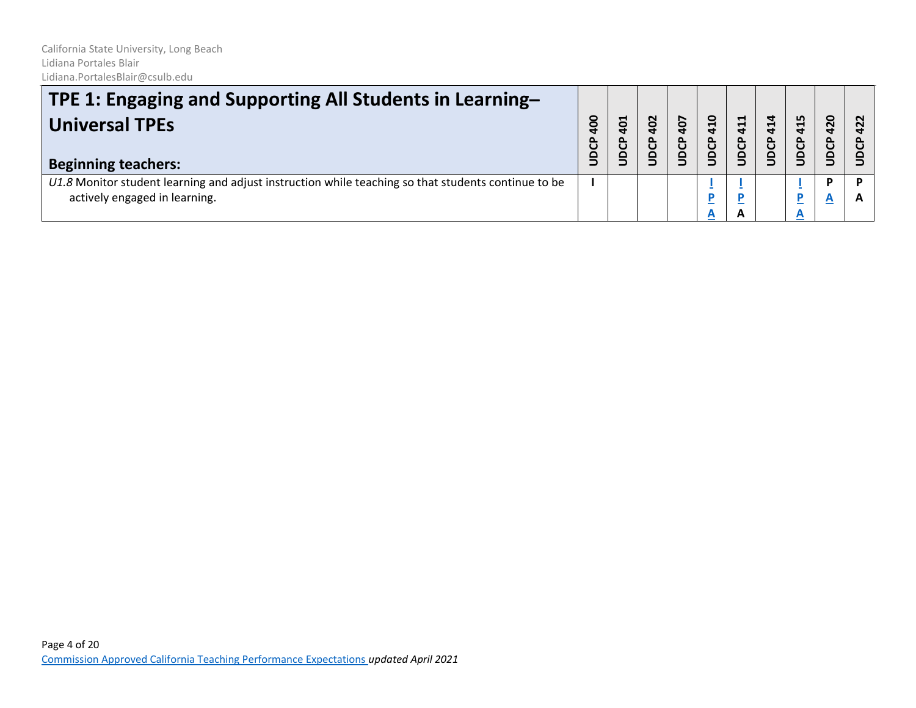| <b>TPE 1: Engaging and Supporting All Students in Learning–</b><br>Universal TPEs<br><b>Beginning teachers:</b>                      | 0<br>௳ | 401<br><b>DCP</b> | 402<br><b>BCP</b> | 407<br><b>DCP</b> | 410<br>JDCP | 411<br>UDCP | 414<br>UDCP | 415<br>පි<br>ğ | 420<br>UDCP                  | $\sim$ |
|--------------------------------------------------------------------------------------------------------------------------------------|--------|-------------------|-------------------|-------------------|-------------|-------------|-------------|----------------|------------------------------|--------|
| U1.8 Monitor student learning and adjust instruction while teaching so that students continue to be<br>actively engaged in learning. |        |                   |                   |                   | A           | A           |             |                | D<br>$\overline{\mathbf{A}}$ |        |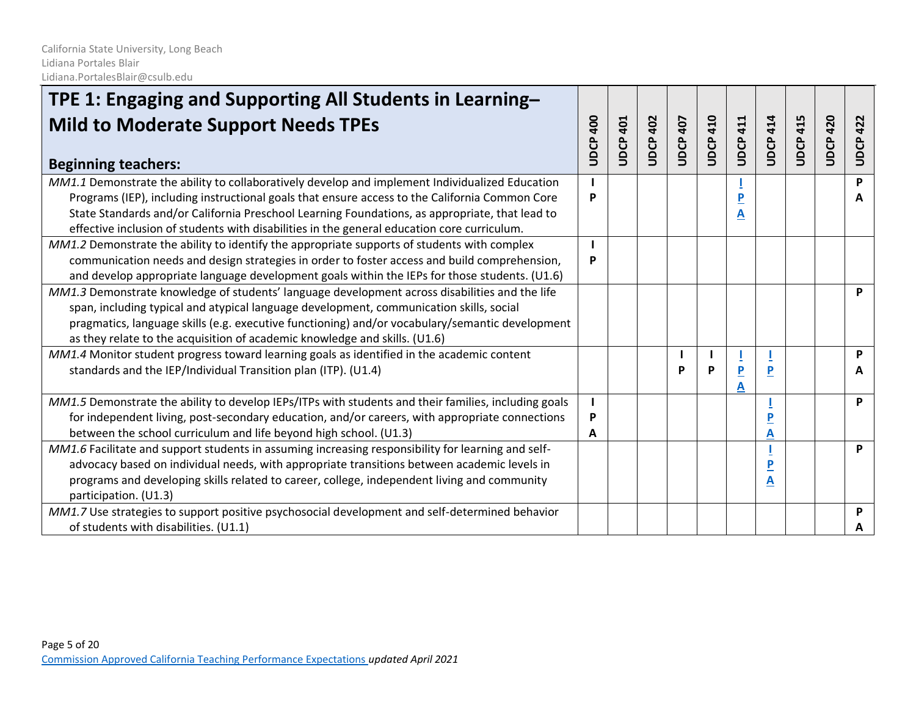| TPE 1: Engaging and Supporting All Students in Learning-<br><b>Mild to Moderate Support Needs TPEs</b>                                                                                            | <b>400</b><br>UDCP | 401<br>UDCP. | 402<br>UDCP | <b>UDCP 407</b> | <b>UDCP 410</b> | 411<br>UDCP | <b>UDCP 414</b> | 415<br>UDCP. | 420<br><b>UDCP</b> | <b>UDCP 422</b> |
|---------------------------------------------------------------------------------------------------------------------------------------------------------------------------------------------------|--------------------|--------------|-------------|-----------------|-----------------|-------------|-----------------|--------------|--------------------|-----------------|
| <b>Beginning teachers:</b>                                                                                                                                                                        |                    |              |             |                 |                 |             |                 |              |                    |                 |
| MM1.1 Demonstrate the ability to collaboratively develop and implement Individualized Education<br>Programs (IEP), including instructional goals that ensure access to the California Common Core | P                  |              |             |                 |                 |             |                 |              |                    | P<br>Α          |
| State Standards and/or California Preschool Learning Foundations, as appropriate, that lead to                                                                                                    |                    |              |             |                 |                 | А           |                 |              |                    |                 |
| effective inclusion of students with disabilities in the general education core curriculum.                                                                                                       |                    |              |             |                 |                 |             |                 |              |                    |                 |
| MM1.2 Demonstrate the ability to identify the appropriate supports of students with complex                                                                                                       |                    |              |             |                 |                 |             |                 |              |                    |                 |
| communication needs and design strategies in order to foster access and build comprehension,                                                                                                      | P                  |              |             |                 |                 |             |                 |              |                    |                 |
| and develop appropriate language development goals within the IEPs for those students. (U1.6)                                                                                                     |                    |              |             |                 |                 |             |                 |              |                    |                 |
| MM1.3 Demonstrate knowledge of students' language development across disabilities and the life                                                                                                    |                    |              |             |                 |                 |             |                 |              |                    | P               |
| span, including typical and atypical language development, communication skills, social                                                                                                           |                    |              |             |                 |                 |             |                 |              |                    |                 |
| pragmatics, language skills (e.g. executive functioning) and/or vocabulary/semantic development                                                                                                   |                    |              |             |                 |                 |             |                 |              |                    |                 |
| as they relate to the acquisition of academic knowledge and skills. (U1.6)                                                                                                                        |                    |              |             |                 |                 |             |                 |              |                    |                 |
| MM1.4 Monitor student progress toward learning goals as identified in the academic content                                                                                                        |                    |              |             |                 |                 |             |                 |              |                    | P               |
| standards and the IEP/Individual Transition plan (ITP). (U1.4)                                                                                                                                    |                    |              |             |                 | P               | Α           | P               |              |                    | A               |
| MM1.5 Demonstrate the ability to develop IEPs/ITPs with students and their families, including goals                                                                                              |                    |              |             |                 |                 |             |                 |              |                    | P               |
| for independent living, post-secondary education, and/or careers, with appropriate connections                                                                                                    | P                  |              |             |                 |                 |             |                 |              |                    |                 |
| between the school curriculum and life beyond high school. (U1.3)                                                                                                                                 | A                  |              |             |                 |                 |             | А               |              |                    |                 |
| MM1.6 Facilitate and support students in assuming increasing responsibility for learning and self-                                                                                                |                    |              |             |                 |                 |             |                 |              |                    | P               |
| advocacy based on individual needs, with appropriate transitions between academic levels in                                                                                                       |                    |              |             |                 |                 |             |                 |              |                    |                 |
| programs and developing skills related to career, college, independent living and community                                                                                                       |                    |              |             |                 |                 |             | А               |              |                    |                 |
| participation. (U1.3)                                                                                                                                                                             |                    |              |             |                 |                 |             |                 |              |                    |                 |
| MM1.7 Use strategies to support positive psychosocial development and self-determined behavior                                                                                                    |                    |              |             |                 |                 |             |                 |              |                    | P               |
| of students with disabilities. (U1.1)                                                                                                                                                             |                    |              |             |                 |                 |             |                 |              |                    | A               |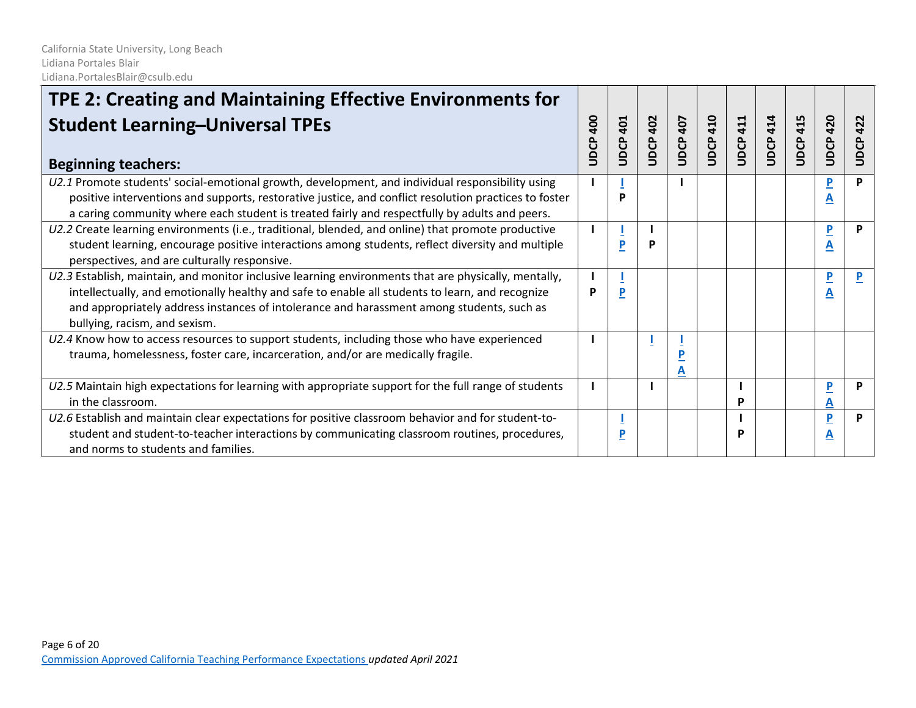| TPE 2: Creating and Maintaining Effective Environments for                                                                                                                                                                                                                                                                            |             |                |                    |                 |                 |                 |                 |                 |                              |              |
|---------------------------------------------------------------------------------------------------------------------------------------------------------------------------------------------------------------------------------------------------------------------------------------------------------------------------------------|-------------|----------------|--------------------|-----------------|-----------------|-----------------|-----------------|-----------------|------------------------------|--------------|
| <b>Student Learning-Universal TPEs</b><br><b>Beginning teachers:</b>                                                                                                                                                                                                                                                                  | 400<br>UDCP | 401<br>UDCP    | 402<br><b>UDCP</b> | <b>UDCP 407</b> | <b>UDCP 410</b> | <b>UDCP 411</b> | <b>UDCP 414</b> | <b>UDCP 415</b> | <b>UDCP 420</b>              | 422<br>UDCP. |
| U2.1 Promote students' social-emotional growth, development, and individual responsibility using<br>positive interventions and supports, restorative justice, and conflict resolution practices to foster<br>a caring community where each student is treated fairly and respectfully by adults and peers.                            |             | P              |                    |                 |                 |                 |                 |                 | P<br>A                       | P            |
| U2.2 Create learning environments (i.e., traditional, blended, and online) that promote productive<br>student learning, encourage positive interactions among students, reflect diversity and multiple<br>perspectives, and are culturally responsive.                                                                                |             | P              | P                  |                 |                 |                 |                 |                 | P<br>A                       | P            |
| U2.3 Establish, maintain, and monitor inclusive learning environments that are physically, mentally,<br>intellectually, and emotionally healthy and safe to enable all students to learn, and recognize<br>and appropriately address instances of intolerance and harassment among students, such as<br>bullying, racism, and sexism. | P           | $\overline{P}$ |                    |                 |                 |                 |                 |                 | $\overline{\mathbf{P}}$<br>A |              |
| U2.4 Know how to access resources to support students, including those who have experienced<br>trauma, homelessness, foster care, incarceration, and/or are medically fragile.                                                                                                                                                        |             |                |                    | D<br>A          |                 |                 |                 |                 |                              |              |
| U2.5 Maintain high expectations for learning with appropriate support for the full range of students<br>in the classroom.                                                                                                                                                                                                             |             |                |                    |                 |                 | P               |                 |                 | $\overline{\mathbf{P}}$<br>A | P            |
| U2.6 Establish and maintain clear expectations for positive classroom behavior and for student-to-<br>student and student-to-teacher interactions by communicating classroom routines, procedures,<br>and norms to students and families.                                                                                             |             | P              |                    |                 |                 | P               |                 |                 | P<br>A                       | P            |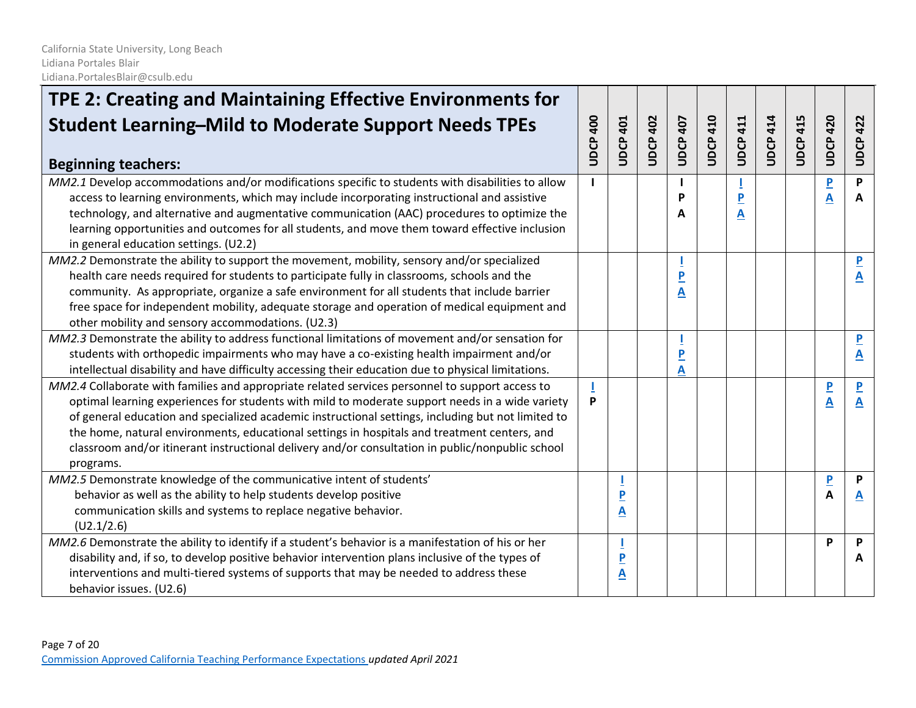| TPE 2: Creating and Maintaining Effective Environments for<br><b>Student Learning-Mild to Moderate Support Needs TPEs</b><br><b>Beginning teachers:</b>                                                                                                                                                                                                                                                                                                                                                                   | <b>UDCP 400</b> | <b>UDCP 401</b>                           | 402<br><b>UDCP</b> | UDCP 407 | <b>UDCP 410</b> | 411<br>UDCP.        | <b>UDCP 414</b> | <b>UDCP 415</b> | <b>UDCP 420</b>     | <b>UDCP 422</b>                                    |
|---------------------------------------------------------------------------------------------------------------------------------------------------------------------------------------------------------------------------------------------------------------------------------------------------------------------------------------------------------------------------------------------------------------------------------------------------------------------------------------------------------------------------|-----------------|-------------------------------------------|--------------------|----------|-----------------|---------------------|-----------------|-----------------|---------------------|----------------------------------------------------|
| MM2.1 Develop accommodations and/or modifications specific to students with disabilities to allow<br>access to learning environments, which may include incorporating instructional and assistive<br>technology, and alternative and augmentative communication (AAC) procedures to optimize the<br>learning opportunities and outcomes for all students, and move them toward effective inclusion<br>in general education settings. (U2.2)                                                                               |                 |                                           |                    |          |                 | $\overline{P}$<br>Α |                 |                 | $\overline{P}$<br>A | P<br>A                                             |
| MM2.2 Demonstrate the ability to support the movement, mobility, sensory and/or specialized<br>health care needs required for students to participate fully in classrooms, schools and the<br>community. As appropriate, organize a safe environment for all students that include barrier<br>free space for independent mobility, adequate storage and operation of medical equipment and<br>other mobility and sensory accommodations. (U2.3)                                                                           |                 |                                           |                    | P<br>Α   |                 |                     |                 |                 |                     | $\overline{\mathbf{P}}$<br>Α                       |
| MM2.3 Demonstrate the ability to address functional limitations of movement and/or sensation for<br>students with orthopedic impairments who may have a co-existing health impairment and/or<br>intellectual disability and have difficulty accessing their education due to physical limitations.                                                                                                                                                                                                                        |                 |                                           |                    | Α        |                 |                     |                 |                 |                     | А                                                  |
| MM2.4 Collaborate with families and appropriate related services personnel to support access to<br>optimal learning experiences for students with mild to moderate support needs in a wide variety<br>of general education and specialized academic instructional settings, including but not limited to<br>the home, natural environments, educational settings in hospitals and treatment centers, and<br>classroom and/or itinerant instructional delivery and/or consultation in public/nonpublic school<br>programs. | P               |                                           |                    |          |                 |                     |                 |                 | $\overline{P}$<br>A | $\overline{\mathbf{P}}$<br>$\overline{\mathbf{A}}$ |
| MM2.5 Demonstrate knowledge of the communicative intent of students'<br>behavior as well as the ability to help students develop positive<br>communication skills and systems to replace negative behavior.<br>(U2.1/2.6)                                                                                                                                                                                                                                                                                                 |                 | $\overline{P}$<br>$\overline{\mathbf{A}}$ |                    |          |                 |                     |                 |                 | $\overline{P}$<br>A | P<br>A                                             |
| MM2.6 Demonstrate the ability to identify if a student's behavior is a manifestation of his or her<br>disability and, if so, to develop positive behavior intervention plans inclusive of the types of<br>interventions and multi-tiered systems of supports that may be needed to address these<br>behavior issues. (U2.6)                                                                                                                                                                                               |                 | $\overline{P}$<br>$\overline{\mathbf{A}}$ |                    |          |                 |                     |                 |                 | P                   | P<br>А                                             |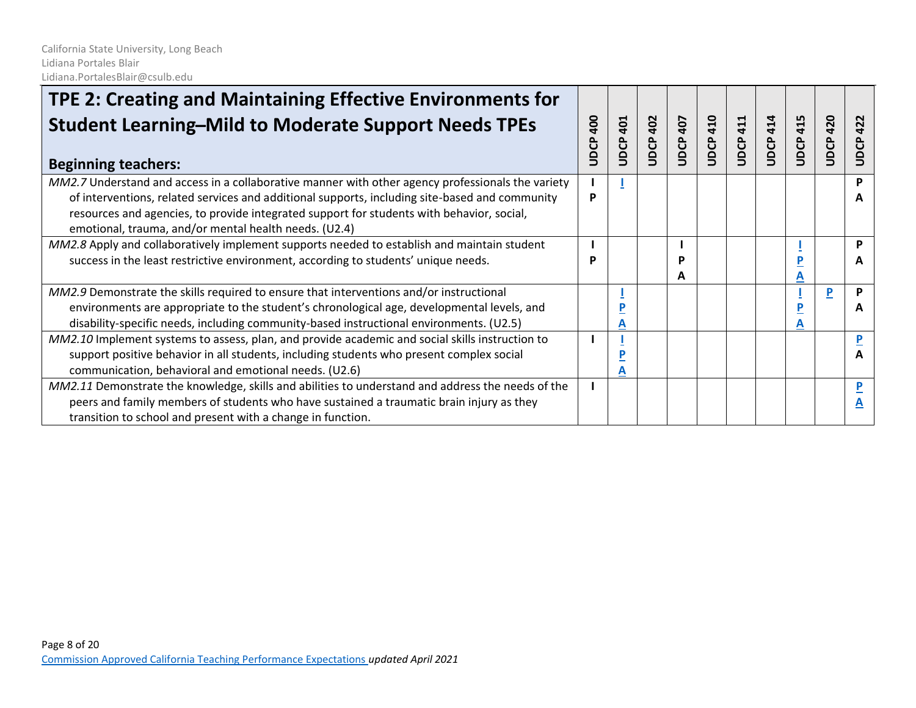| TPE 2: Creating and Maintaining Effective Environments for                                                                                                                                                                                                                                                                                                |                        |             |             |                 |                    |                    |              |             |             |                             |
|-----------------------------------------------------------------------------------------------------------------------------------------------------------------------------------------------------------------------------------------------------------------------------------------------------------------------------------------------------------|------------------------|-------------|-------------|-----------------|--------------------|--------------------|--------------|-------------|-------------|-----------------------------|
| <b>Student Learning-Mild to Moderate Support Needs TPEs</b><br><b>Beginning teachers:</b>                                                                                                                                                                                                                                                                 | $\overline{a}$<br>UDCP | 401<br>UDCP | 402<br>UDCP | <b>JDCP 407</b> | 410<br><b>UDCP</b> | 411<br><b>UDCP</b> | 414<br>UDCP. | 415<br>UDCP | 420<br>UDCP | 422<br><b>DCP</b><br>$\Box$ |
| MM2.7 Understand and access in a collaborative manner with other agency professionals the variety<br>of interventions, related services and additional supports, including site-based and community<br>resources and agencies, to provide integrated support for students with behavior, social,<br>emotional, trauma, and/or mental health needs. (U2.4) | P                      |             |             |                 |                    |                    |              |             |             | D                           |
| MM2.8 Apply and collaboratively implement supports needed to establish and maintain student<br>success in the least restrictive environment, according to students' unique needs.                                                                                                                                                                         |                        |             |             | P<br>A          |                    |                    |              |             |             | P<br>A                      |
| MM2.9 Demonstrate the skills required to ensure that interventions and/or instructional<br>environments are appropriate to the student's chronological age, developmental levels, and<br>disability-specific needs, including community-based instructional environments. (U2.5)                                                                          |                        | A           |             |                 |                    |                    |              |             | P           | P<br>A                      |
| MM2.10 Implement systems to assess, plan, and provide academic and social skills instruction to<br>support positive behavior in all students, including students who present complex social<br>communication, behavioral and emotional needs. (U2.6)                                                                                                      |                        | D<br>A      |             |                 |                    |                    |              |             |             |                             |
| MM2.11 Demonstrate the knowledge, skills and abilities to understand and address the needs of the<br>peers and family members of students who have sustained a traumatic brain injury as they<br>transition to school and present with a change in function.                                                                                              |                        |             |             |                 |                    |                    |              |             |             |                             |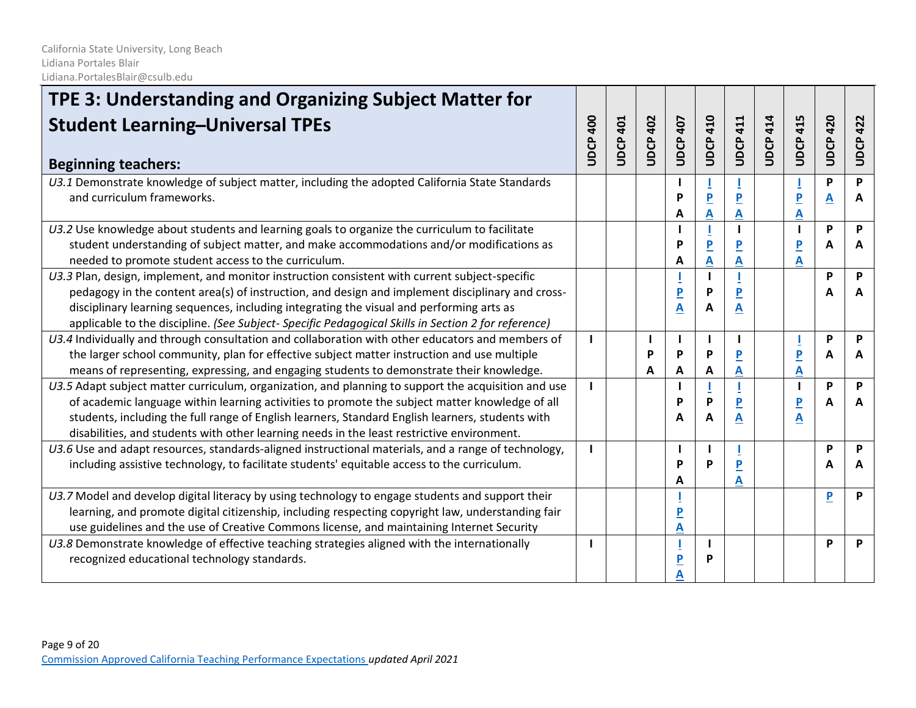| TPE 3: Understanding and Organizing Subject Matter for<br><b>Student Learning-Universal TPEs</b><br><b>Beginning teachers:</b>                                                                                                                                                                                                                                                                          | 400<br>UDCP. | <b>JDCP 401</b> | 402<br>UDCP. | <b>UDCP 407</b>        | <b>UDCP 410</b>     | <b>JDCP 411</b>              | <b>UDCP 414</b> | <b>UDCP 415</b>              | 420<br>good | <b>UDCP 422</b> |
|---------------------------------------------------------------------------------------------------------------------------------------------------------------------------------------------------------------------------------------------------------------------------------------------------------------------------------------------------------------------------------------------------------|--------------|-----------------|--------------|------------------------|---------------------|------------------------------|-----------------|------------------------------|-------------|-----------------|
| U3.1 Demonstrate knowledge of subject matter, including the adopted California State Standards<br>and curriculum frameworks.                                                                                                                                                                                                                                                                            |              |                 |              | D<br>Α                 | $\overline{P}$<br>Α | Α                            |                 | $\overline{P}$<br>Α          | P<br>A      | P<br>Α          |
| U3.2 Use knowledge about students and learning goals to organize the curriculum to facilitate<br>student understanding of subject matter, and make accommodations and/or modifications as<br>needed to promote student access to the curriculum.                                                                                                                                                        |              |                 |              | D<br>A                 | $\overline{P}$<br>A | A                            |                 | $\overline{\mathsf{P}}$<br>A | P<br>A      | P<br>A          |
| U3.3 Plan, design, implement, and monitor instruction consistent with current subject-specific<br>pedagogy in the content area(s) of instruction, and design and implement disciplinary and cross-<br>disciplinary learning sequences, including integrating the visual and performing arts as<br>applicable to the discipline. (See Subject-Specific Pedagogical Skills in Section 2 for reference)    |              |                 |              | P<br>A                 | P<br>Α              | $\overline{\mathbf{P}}$<br>A |                 |                              | P           | P<br>A          |
| U3.4 Individually and through consultation and collaboration with other educators and members of<br>the larger school community, plan for effective subject matter instruction and use multiple<br>means of representing, expressing, and engaging students to demonstrate their knowledge.                                                                                                             |              |                 | P<br>А       | ı<br>P<br>A            | P<br>Α              | Α                            |                 | P<br>А                       | P<br>A      | P<br>A          |
| U3.5 Adapt subject matter curriculum, organization, and planning to support the acquisition and use<br>of academic language within learning activities to promote the subject matter knowledge of all<br>students, including the full range of English learners, Standard English learners, students with<br>disabilities, and students with other learning needs in the least restrictive environment. |              |                 |              | $\mathbf{I}$<br>Þ<br>A | P<br>A              | P<br>A                       |                 | $\overline{\mathbf{P}}$<br>A | P<br>A      | P<br>A          |
| U3.6 Use and adapt resources, standards-aligned instructional materials, and a range of technology,<br>including assistive technology, to facilitate students' equitable access to the curriculum.                                                                                                                                                                                                      |              |                 |              | Þ<br>A                 | Þ                   | Α                            |                 |                              | P           | P<br>A          |
| U3.7 Model and develop digital literacy by using technology to engage students and support their<br>learning, and promote digital citizenship, including respecting copyright law, understanding fair<br>use guidelines and the use of Creative Commons license, and maintaining Internet Security                                                                                                      |              |                 |              | P<br>A                 |                     |                              |                 |                              | P           | P               |
| U3.8 Demonstrate knowledge of effective teaching strategies aligned with the internationally<br>recognized educational technology standards.                                                                                                                                                                                                                                                            |              |                 |              | P                      | P                   |                              |                 |                              | P           | P               |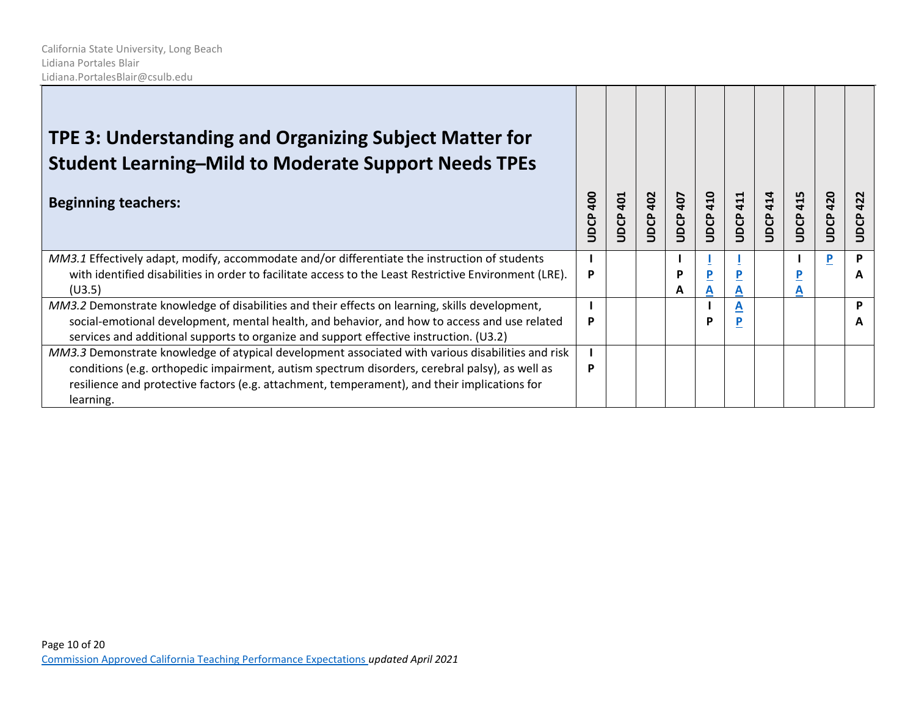| TPE 3: Understanding and Organizing Subject Matter for<br><b>Student Learning-Mild to Moderate Support Needs TPEs</b>                                                                                                                                                                                            |                    |             |                 |             |                    |                 |             |                    |             |             |
|------------------------------------------------------------------------------------------------------------------------------------------------------------------------------------------------------------------------------------------------------------------------------------------------------------------|--------------------|-------------|-----------------|-------------|--------------------|-----------------|-------------|--------------------|-------------|-------------|
| <b>Beginning teachers:</b>                                                                                                                                                                                                                                                                                       | <b>904</b><br>UDCP | 401<br>UDCP | <b>JDCP 402</b> | 407<br>UDCP | 410<br><b>UDCP</b> | <b>JDCP 411</b> | 414<br>UDCP | 415<br><b>UDCP</b> | 420<br>UDCP | 422<br>UDCP |
| MM3.1 Effectively adapt, modify, accommodate and/or differentiate the instruction of students<br>with identified disabilities in order to facilitate access to the Least Restrictive Environment (LRE).<br>(U3.5)                                                                                                | P                  |             |                 | P<br>А      | A                  | D<br>A          |             | А                  |             | P<br>A      |
| MM3.2 Demonstrate knowledge of disabilities and their effects on learning, skills development,<br>social-emotional development, mental health, and behavior, and how to access and use related<br>services and additional supports to organize and support effective instruction. (U3.2)                         | P                  |             |                 |             | р                  | A<br>P          |             |                    |             | D           |
| MM3.3 Demonstrate knowledge of atypical development associated with various disabilities and risk<br>conditions (e.g. orthopedic impairment, autism spectrum disorders, cerebral palsy), as well as<br>resilience and protective factors (e.g. attachment, temperament), and their implications for<br>learning. | P                  |             |                 |             |                    |                 |             |                    |             |             |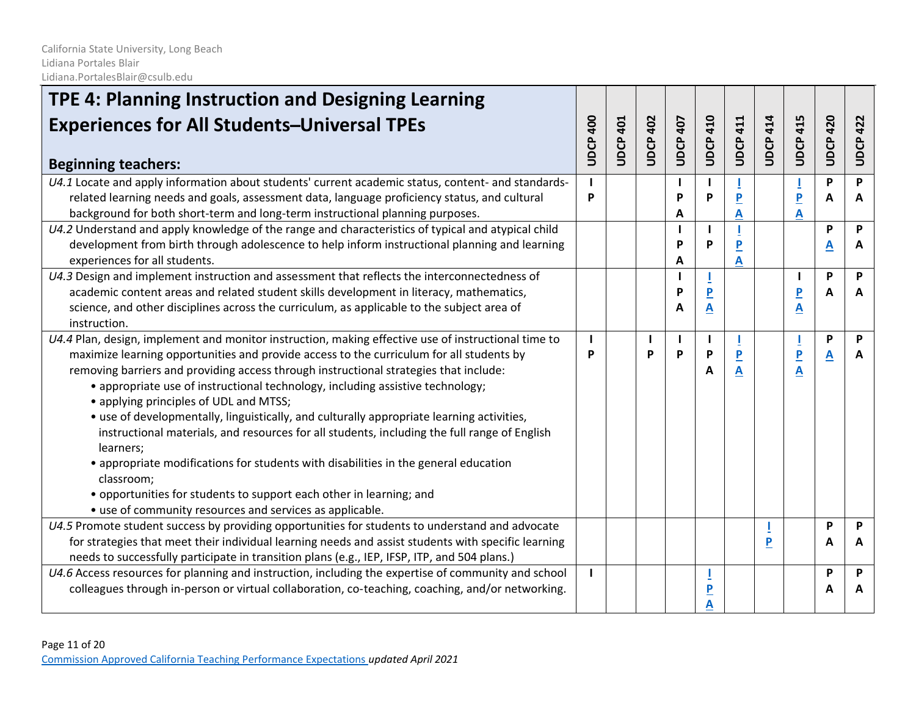| TPE 4: Planning Instruction and Designing Learning                                                  |          |                 |                 |          |                         |                 |                 |                         |              |                 |
|-----------------------------------------------------------------------------------------------------|----------|-----------------|-----------------|----------|-------------------------|-----------------|-----------------|-------------------------|--------------|-----------------|
| <b>Experiences for All Students-Universal TPEs</b>                                                  | UDCP 400 | <b>UDCP 401</b> | <b>UDCP 402</b> | UDCP 407 | <b>UDCP 410</b>         | <b>UDCP 411</b> | <b>UDCP 414</b> | <b>UDCP 415</b>         | 420<br>UDCP. | <b>UDCP 422</b> |
| <b>Beginning teachers:</b>                                                                          |          |                 |                 |          |                         |                 |                 |                         |              |                 |
| U4.1 Locate and apply information about students' current academic status, content- and standards-  |          |                 |                 |          |                         |                 |                 |                         | P            | P               |
| related learning needs and goals, assessment data, language proficiency status, and cultural        | P        |                 |                 | P        | P                       | P               |                 | $\overline{P}$          | A            | A               |
| background for both short-term and long-term instructional planning purposes.                       |          |                 |                 | A        |                         | Α               |                 | A                       |              |                 |
| U4.2 Understand and apply knowledge of the range and characteristics of typical and atypical child  |          |                 |                 | ı        |                         |                 |                 |                         | P            | P               |
| development from birth through adolescence to help inform instructional planning and learning       |          |                 |                 | P        | Þ                       |                 |                 |                         | A            | A               |
| experiences for all students.                                                                       |          |                 |                 | A        |                         | A               |                 |                         |              |                 |
| $U4.3$ Design and implement instruction and assessment that reflects the interconnectedness of      |          |                 |                 | ı        |                         |                 |                 |                         | P            | P               |
| academic content areas and related student skills development in literacy, mathematics,             |          |                 |                 | P        | $\overline{P}$          |                 |                 | $\overline{P}$          | A            | A               |
| science, and other disciplines across the curriculum, as applicable to the subject area of          |          |                 |                 | A        | $\mathbf{A}$            |                 |                 | Α                       |              |                 |
| instruction.                                                                                        |          |                 |                 |          |                         |                 |                 |                         |              |                 |
| U4.4 Plan, design, implement and monitor instruction, making effective use of instructional time to |          |                 | ш               | L        |                         |                 |                 |                         | P            | P               |
| maximize learning opportunities and provide access to the curriculum for all students by            | P        |                 | P               | P        | P                       |                 |                 | $\overline{\mathsf{P}}$ | A            | A               |
| removing barriers and providing access through instructional strategies that include:               |          |                 |                 |          | A                       | Α               |                 | Α                       |              |                 |
| • appropriate use of instructional technology, including assistive technology;                      |          |                 |                 |          |                         |                 |                 |                         |              |                 |
| • applying principles of UDL and MTSS;                                                              |          |                 |                 |          |                         |                 |                 |                         |              |                 |
| • use of developmentally, linguistically, and culturally appropriate learning activities,           |          |                 |                 |          |                         |                 |                 |                         |              |                 |
| instructional materials, and resources for all students, including the full range of English        |          |                 |                 |          |                         |                 |                 |                         |              |                 |
| learners;                                                                                           |          |                 |                 |          |                         |                 |                 |                         |              |                 |
| • appropriate modifications for students with disabilities in the general education                 |          |                 |                 |          |                         |                 |                 |                         |              |                 |
| classroom;                                                                                          |          |                 |                 |          |                         |                 |                 |                         |              |                 |
| • opportunities for students to support each other in learning; and                                 |          |                 |                 |          |                         |                 |                 |                         |              |                 |
| • use of community resources and services as applicable.                                            |          |                 |                 |          |                         |                 |                 |                         |              |                 |
| U4.5 Promote student success by providing opportunities for students to understand and advocate     |          |                 |                 |          |                         |                 |                 |                         | P            | P               |
| for strategies that meet their individual learning needs and assist students with specific learning |          |                 |                 |          |                         |                 | P               |                         | A            | A               |
| needs to successfully participate in transition plans (e.g., IEP, IFSP, ITP, and 504 plans.)        |          |                 |                 |          |                         |                 |                 |                         |              |                 |
| U4.6 Access resources for planning and instruction, including the expertise of community and school |          |                 |                 |          |                         |                 |                 |                         | P            | P               |
| colleagues through in-person or virtual collaboration, co-teaching, coaching, and/or networking.    |          |                 |                 |          | $\overline{\mathbf{P}}$ |                 |                 |                         | A            | A               |
|                                                                                                     |          |                 |                 |          |                         |                 |                 |                         |              |                 |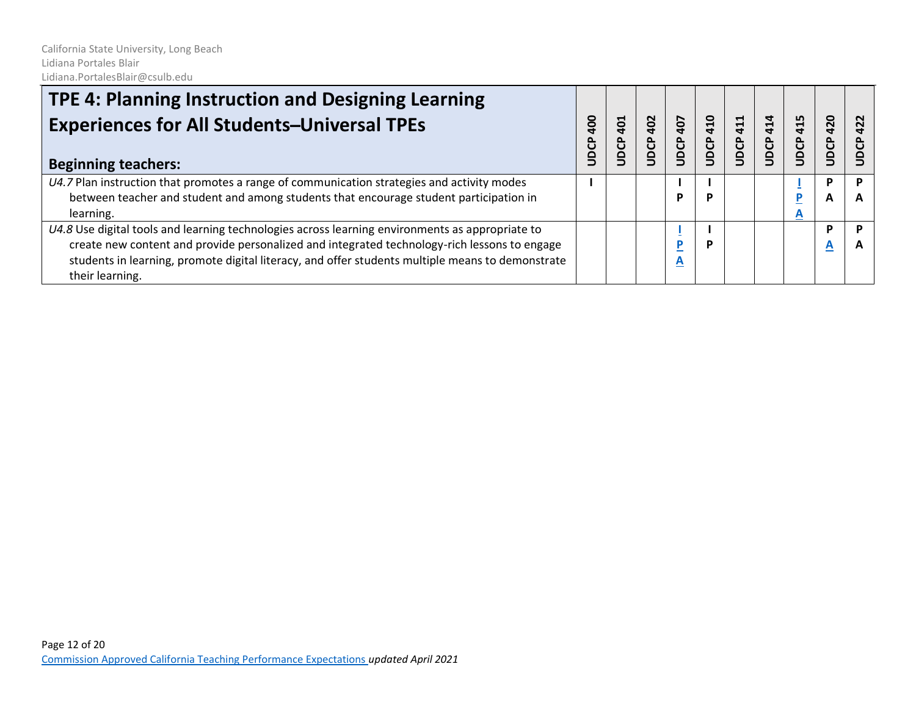| TPE 4: Planning Instruction and Designing Learning<br><b>Experiences for All Students-Universal TPEs</b><br><b>Beginning teachers:</b>                                                                                                                                                                                 | $\frac{8}{3}$<br><b>ODCP</b> | 401<br>JDCP | 402<br>UDCP | 407<br>UDCP | 410<br>UDCP | 411<br>UDCP | 414<br>UDCP | 415<br>UDCP | 420<br>UDCP | 422 |
|------------------------------------------------------------------------------------------------------------------------------------------------------------------------------------------------------------------------------------------------------------------------------------------------------------------------|------------------------------|-------------|-------------|-------------|-------------|-------------|-------------|-------------|-------------|-----|
| $U4.7$ Plan instruction that promotes a range of communication strategies and activity modes<br>between teacher and student and among students that encourage student participation in<br>learning.                                                                                                                    |                              |             |             | D           |             |             |             | A           | Р<br>A      | D   |
| U4.8 Use digital tools and learning technologies across learning environments as appropriate to<br>create new content and provide personalized and integrated technology-rich lessons to engage<br>students in learning, promote digital literacy, and offer students multiple means to demonstrate<br>their learning. |                              |             |             | A           | D           |             |             |             | D<br>A      |     |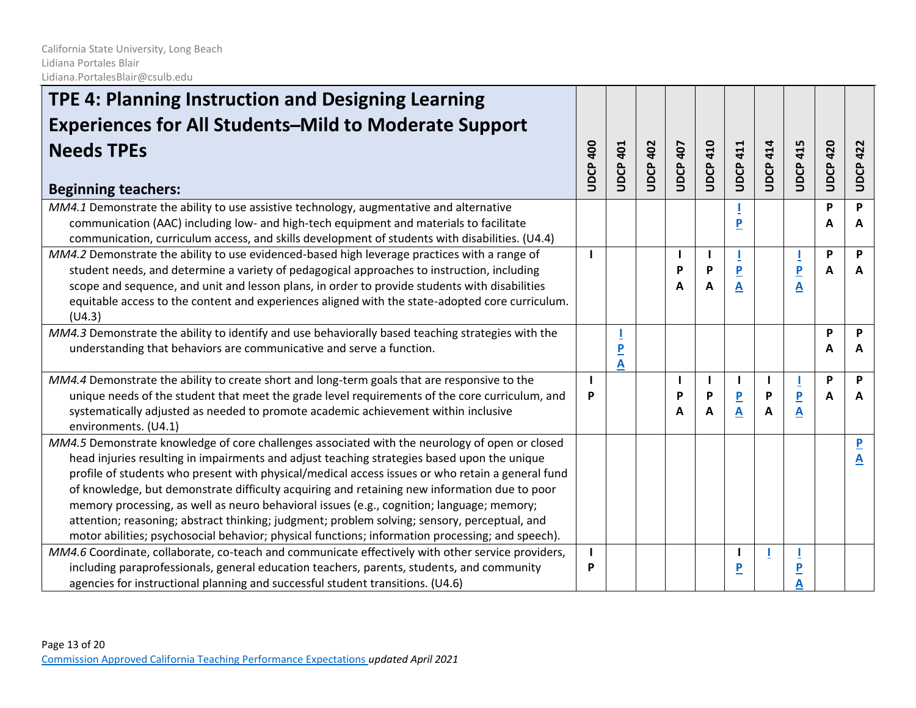| TPE 4: Planning Instruction and Designing Learning                                                                                                                                                                                                                                                                                                                                                                                                                                                                                                                                                                                                                                                 |                   |                     |                 |                 |                 |                              |                 |                     |                 |                              |
|----------------------------------------------------------------------------------------------------------------------------------------------------------------------------------------------------------------------------------------------------------------------------------------------------------------------------------------------------------------------------------------------------------------------------------------------------------------------------------------------------------------------------------------------------------------------------------------------------------------------------------------------------------------------------------------------------|-------------------|---------------------|-----------------|-----------------|-----------------|------------------------------|-----------------|---------------------|-----------------|------------------------------|
| <b>Experiences for All Students-Mild to Moderate Support</b>                                                                                                                                                                                                                                                                                                                                                                                                                                                                                                                                                                                                                                       |                   |                     |                 |                 |                 |                              |                 |                     |                 |                              |
| <b>Needs TPEs</b><br><b>Beginning teachers:</b>                                                                                                                                                                                                                                                                                                                                                                                                                                                                                                                                                                                                                                                    | <b>UDCP 400</b>   | <b>UDCP 401</b>     | <b>UDCP 402</b> | <b>UDCP 407</b> | <b>UDCP 410</b> | <b>UDCP 411</b>              | <b>UDCP 414</b> | <b>UDCP 415</b>     | <b>UDCP 420</b> | <b>UDCP 422</b>              |
| MM4.1 Demonstrate the ability to use assistive technology, augmentative and alternative<br>communication (AAC) including low- and high-tech equipment and materials to facilitate<br>communication, curriculum access, and skills development of students with disabilities. (U4.4)                                                                                                                                                                                                                                                                                                                                                                                                                |                   |                     |                 |                 |                 | P                            |                 |                     | P<br>A          | P<br>A                       |
| MM4.2 Demonstrate the ability to use evidenced-based high leverage practices with a range of<br>student needs, and determine a variety of pedagogical approaches to instruction, including<br>scope and sequence, and unit and lesson plans, in order to provide students with disabilities<br>equitable access to the content and experiences aligned with the state-adopted core curriculum.<br>(U4.3)                                                                                                                                                                                                                                                                                           |                   |                     |                 | P<br>A          | P<br>A          | $\overline{\mathbf{P}}$<br>A |                 | $\overline{P}$<br>A | P<br>A          | P<br>A                       |
| MM4.3 Demonstrate the ability to identify and use behaviorally based teaching strategies with the<br>understanding that behaviors are communicative and serve a function.                                                                                                                                                                                                                                                                                                                                                                                                                                                                                                                          |                   | $\overline{P}$<br>A |                 |                 |                 |                              |                 |                     | P<br>A          | P<br>A                       |
| MM4.4 Demonstrate the ability to create short and long-term goals that are responsive to the<br>unique needs of the student that meet the grade level requirements of the core curriculum, and<br>systematically adjusted as needed to promote academic achievement within inclusive<br>environments. (U4.1)                                                                                                                                                                                                                                                                                                                                                                                       | $\mathbf{I}$<br>P |                     |                 | P<br>A          | P<br>А          | $\overline{\mathbf{P}}$<br>A | P<br>A          | $\overline{P}$<br>A | P<br>A          | P<br>A                       |
| MM4.5 Demonstrate knowledge of core challenges associated with the neurology of open or closed<br>head injuries resulting in impairments and adjust teaching strategies based upon the unique<br>profile of students who present with physical/medical access issues or who retain a general fund<br>of knowledge, but demonstrate difficulty acquiring and retaining new information due to poor<br>memory processing, as well as neuro behavioral issues (e.g., cognition; language; memory;<br>attention; reasoning; abstract thinking; judgment; problem solving; sensory, perceptual, and<br>motor abilities; psychosocial behavior; physical functions; information processing; and speech). |                   |                     |                 |                 |                 |                              |                 |                     |                 | $\overline{\mathbf{P}}$<br>A |
| MM4.6 Coordinate, collaborate, co-teach and communicate effectively with other service providers,<br>including paraprofessionals, general education teachers, parents, students, and community<br>agencies for instructional planning and successful student transitions. (U4.6)                                                                                                                                                                                                                                                                                                                                                                                                                   | P                 |                     |                 |                 |                 | <u>P</u>                     |                 | $\mathbf{P}$        |                 |                              |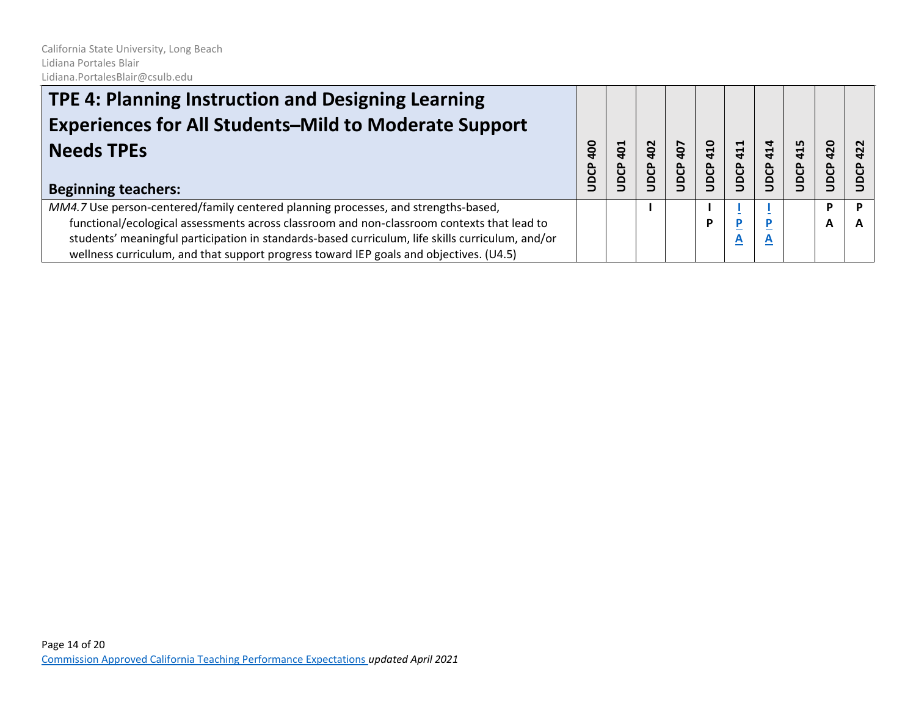| TPE 4: Planning Instruction and Designing Learning<br><b>Experiences for All Students-Mild to Moderate Support</b> |                    |                                |             |             |             |                          |             |                   |             |   |
|--------------------------------------------------------------------------------------------------------------------|--------------------|--------------------------------|-------------|-------------|-------------|--------------------------|-------------|-------------------|-------------|---|
| <b>Needs TPEs</b><br><b>Beginning teachers:</b>                                                                    | <b>904</b><br>UDCP | $\overline{10}$<br><b>JDCP</b> | 402<br>JDCP | 407<br>JDCP | 410<br>JDCP | 411<br><b>DCP</b>        | 414<br>UDCP | 415<br><b>BCP</b> | 420<br>JDCP | N |
| MM4.7 Use person-centered/family centered planning processes, and strengths-based,                                 |                    |                                |             |             |             |                          |             |                   | P           |   |
| functional/ecological assessments across classroom and non-classroom contexts that lead to                         |                    |                                |             |             | Đ           |                          |             |                   | A           | A |
| students' meaningful participation in standards-based curriculum, life skills curriculum, and/or                   |                    |                                |             |             |             | $\underline{\mathbf{A}}$ | A           |                   |             |   |
| wellness curriculum, and that support progress toward IEP goals and objectives. (U4.5)                             |                    |                                |             |             |             |                          |             |                   |             |   |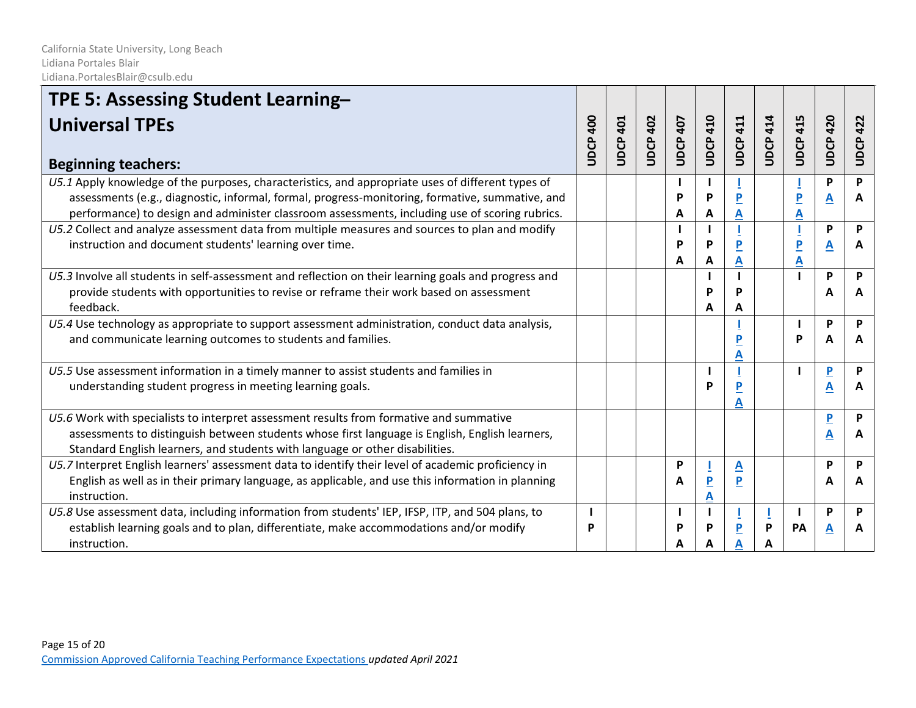| TPE 5: Assessing Student Learning-                                                                                                                                                                                                                                                                     |                 |             |                 |                 |                              |                 |                 |                         |                              |                 |
|--------------------------------------------------------------------------------------------------------------------------------------------------------------------------------------------------------------------------------------------------------------------------------------------------------|-----------------|-------------|-----------------|-----------------|------------------------------|-----------------|-----------------|-------------------------|------------------------------|-----------------|
| <b>Universal TPEs</b><br><b>Beginning teachers:</b>                                                                                                                                                                                                                                                    | <b>UDCP 400</b> | 401<br>UDCP | <b>UDCP 402</b> | <b>UDCP 407</b> | <b>UDCP 410</b>              | <b>UDCP 411</b> | <b>UDCP 414</b> | <b>UDCP 415</b>         | <b>UDCP 420</b>              | <b>UDCP 422</b> |
| U5.1 Apply knowledge of the purposes, characteristics, and appropriate uses of different types of<br>assessments (e.g., diagnostic, informal, formal, progress-monitoring, formative, summative, and<br>performance) to design and administer classroom assessments, including use of scoring rubrics. |                 |             |                 | P<br>A          | P<br>A                       | A               |                 | $\overline{\mathbf{P}}$ | P<br>$\overline{\mathbf{A}}$ | P<br>A          |
| U5.2 Collect and analyze assessment data from multiple measures and sources to plan and modify<br>instruction and document students' learning over time.                                                                                                                                               |                 |             |                 | P<br>A          | P<br>A                       | A               |                 |                         | P<br>A                       | P<br>A          |
| U5.3 Involve all students in self-assessment and reflection on their learning goals and progress and<br>provide students with opportunities to revise or reframe their work based on assessment<br>feedback.                                                                                           |                 |             |                 |                 | P<br>Α                       | P<br>A          |                 |                         | P<br>А                       | P<br>A          |
| U5.4 Use technology as appropriate to support assessment administration, conduct data analysis,<br>and communicate learning outcomes to students and families.                                                                                                                                         |                 |             |                 |                 |                              | A               |                 | P                       | P<br>Α                       | P<br>A          |
| U5.5 Use assessment information in a timely manner to assist students and families in<br>understanding student progress in meeting learning goals.                                                                                                                                                     |                 |             |                 |                 | P                            | P               |                 |                         | $\overline{P}$<br>Α          | P<br>A          |
| U5.6 Work with specialists to interpret assessment results from formative and summative<br>assessments to distinguish between students whose first language is English, English learners,<br>Standard English learners, and students with language or other disabilities.                              |                 |             |                 |                 |                              |                 |                 |                         | $\overline{\mathbf{P}}$<br>Α | P<br>А          |
| U5.7 Interpret English learners' assessment data to identify their level of academic proficiency in<br>English as well as in their primary language, as applicable, and use this information in planning<br>instruction.                                                                               |                 |             |                 | P<br>A          | $\overline{\mathbf{P}}$<br>Α | A<br>P          |                 |                         | P<br>Α                       | P<br>A          |
| U5.8 Use assessment data, including information from students' IEP, IFSP, ITP, and 504 plans, to<br>establish learning goals and to plan, differentiate, make accommodations and/or modify<br>instruction.                                                                                             | P               |             |                 | P<br>A          | Р                            | P<br>Α          | P               | <b>PA</b>               | P<br>A                       | P<br>А          |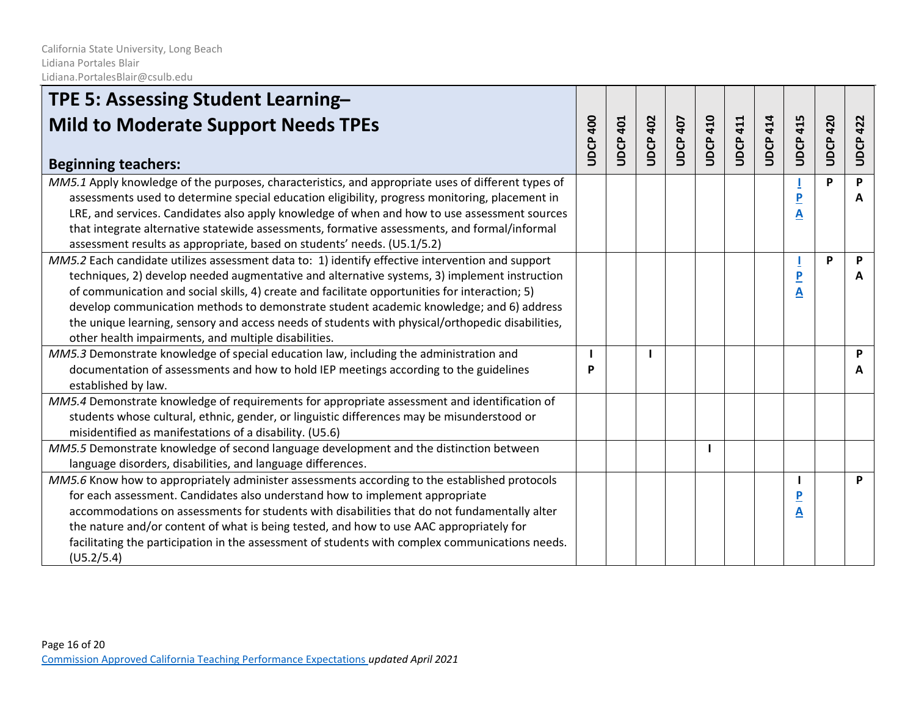| TPE 5: Assessing Student Learning-                                                                                                                                                                                                                                                                                                                                                                                                                                                        |                 |                 |                 |                 |                 |                 |                 |                 |                 |                 |
|-------------------------------------------------------------------------------------------------------------------------------------------------------------------------------------------------------------------------------------------------------------------------------------------------------------------------------------------------------------------------------------------------------------------------------------------------------------------------------------------|-----------------|-----------------|-----------------|-----------------|-----------------|-----------------|-----------------|-----------------|-----------------|-----------------|
| <b>Mild to Moderate Support Needs TPEs</b>                                                                                                                                                                                                                                                                                                                                                                                                                                                | <b>UDCP 400</b> | <b>UDCP 401</b> | <b>UDCP 402</b> | <b>UDCP 407</b> | <b>UDCP 410</b> | <b>UDCP 411</b> | <b>UDCP 414</b> | <b>UDCP 415</b> | <b>UDCP 420</b> | <b>UDCP 422</b> |
| <b>Beginning teachers:</b>                                                                                                                                                                                                                                                                                                                                                                                                                                                                |                 |                 |                 |                 |                 |                 |                 |                 |                 |                 |
| MM5.1 Apply knowledge of the purposes, characteristics, and appropriate uses of different types of<br>assessments used to determine special education eligibility, progress monitoring, placement in<br>LRE, and services. Candidates also apply knowledge of when and how to use assessment sources<br>that integrate alternative statewide assessments, formative assessments, and formal/informal                                                                                      |                 |                 |                 |                 |                 |                 |                 | P<br>A          | P               | P<br>A          |
| assessment results as appropriate, based on students' needs. (U5.1/5.2)<br>MM5.2 Each candidate utilizes assessment data to: 1) identify effective intervention and support                                                                                                                                                                                                                                                                                                               |                 |                 |                 |                 |                 |                 |                 |                 | P               | P               |
| techniques, 2) develop needed augmentative and alternative systems, 3) implement instruction<br>of communication and social skills, 4) create and facilitate opportunities for interaction; 5)<br>develop communication methods to demonstrate student academic knowledge; and 6) address<br>the unique learning, sensory and access needs of students with physical/orthopedic disabilities,<br>other health impairments, and multiple disabilities.                                     |                 |                 |                 |                 |                 |                 |                 | P<br>A          |                 | A               |
| MM5.3 Demonstrate knowledge of special education law, including the administration and                                                                                                                                                                                                                                                                                                                                                                                                    |                 |                 |                 |                 |                 |                 |                 |                 |                 | P               |
| documentation of assessments and how to hold IEP meetings according to the guidelines<br>established by law.                                                                                                                                                                                                                                                                                                                                                                              | Þ               |                 |                 |                 |                 |                 |                 |                 |                 | A               |
| MM5.4 Demonstrate knowledge of requirements for appropriate assessment and identification of                                                                                                                                                                                                                                                                                                                                                                                              |                 |                 |                 |                 |                 |                 |                 |                 |                 |                 |
| students whose cultural, ethnic, gender, or linguistic differences may be misunderstood or<br>misidentified as manifestations of a disability. (U5.6)                                                                                                                                                                                                                                                                                                                                     |                 |                 |                 |                 |                 |                 |                 |                 |                 |                 |
| MM5.5 Demonstrate knowledge of second language development and the distinction between<br>language disorders, disabilities, and language differences.                                                                                                                                                                                                                                                                                                                                     |                 |                 |                 |                 |                 |                 |                 |                 |                 |                 |
| MM5.6 Know how to appropriately administer assessments according to the established protocols<br>for each assessment. Candidates also understand how to implement appropriate<br>accommodations on assessments for students with disabilities that do not fundamentally alter<br>the nature and/or content of what is being tested, and how to use AAC appropriately for<br>facilitating the participation in the assessment of students with complex communications needs.<br>(U5.2/5.4) |                 |                 |                 |                 |                 |                 |                 | A               |                 | P               |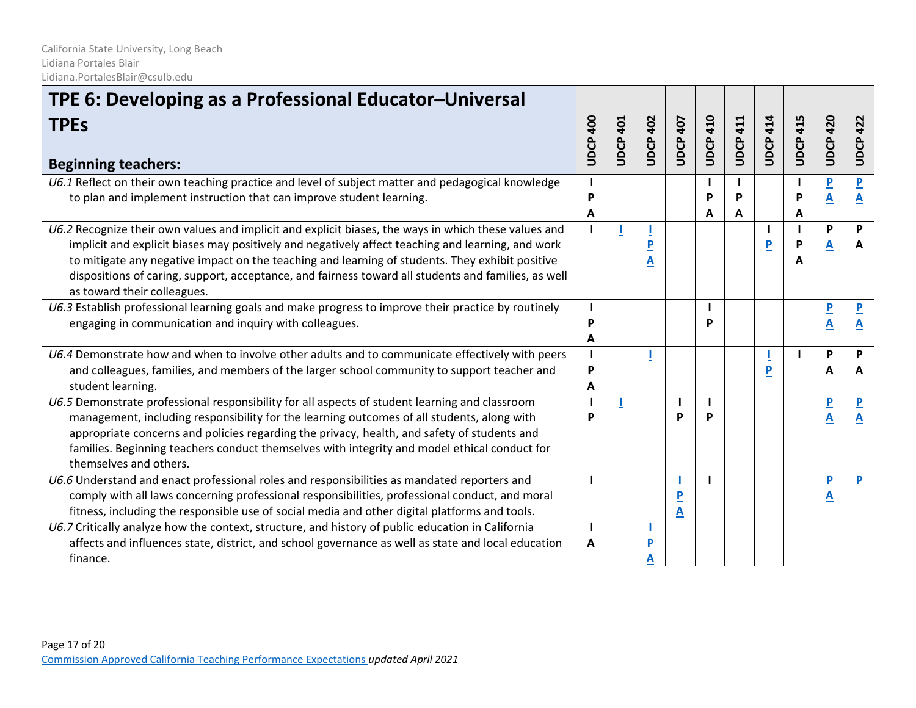| TPE 6: Developing as a Professional Educator-Universal                                                                                                                                                                                                                                                                                                                                                                                             |                    |                    |                     |                 |                 |                 |                 |                 |                              |                                         |
|----------------------------------------------------------------------------------------------------------------------------------------------------------------------------------------------------------------------------------------------------------------------------------------------------------------------------------------------------------------------------------------------------------------------------------------------------|--------------------|--------------------|---------------------|-----------------|-----------------|-----------------|-----------------|-----------------|------------------------------|-----------------------------------------|
| <b>TPEs</b><br><b>Beginning teachers:</b>                                                                                                                                                                                                                                                                                                                                                                                                          | 400<br><b>UDCP</b> | 401<br><b>UDCP</b> | 402<br><b>UDCP</b>  | <b>UDCP 407</b> | <b>UDCP 410</b> | <b>UDCP 411</b> | <b>UDCP 414</b> | <b>UDCP 415</b> | 420<br>UDCP                  | 422<br>UDCP                             |
| U6.1 Reflect on their own teaching practice and level of subject matter and pedagogical knowledge<br>to plan and implement instruction that can improve student learning.                                                                                                                                                                                                                                                                          | P<br>A             |                    |                     |                 | P<br>А          | P<br>A          |                 | Þ<br>A          | $\overline{\mathbf{P}}$<br>A | $\overline{\mathbf{P}}$<br>$\mathbf{A}$ |
| U6.2 Recognize their own values and implicit and explicit biases, the ways in which these values and<br>implicit and explicit biases may positively and negatively affect teaching and learning, and work<br>to mitigate any negative impact on the teaching and learning of students. They exhibit positive<br>dispositions of caring, support, acceptance, and fairness toward all students and families, as well<br>as toward their colleagues. |                    |                    | $\overline{P}$<br>A |                 |                 |                 | P               | P<br>А          | P<br>A                       | P<br>A                                  |
| U6.3 Establish professional learning goals and make progress to improve their practice by routinely<br>engaging in communication and inquiry with colleagues.                                                                                                                                                                                                                                                                                      | P<br>A             |                    |                     |                 | Þ               |                 |                 |                 | $\overline{P}$<br>A          | $\mathbf{A}$                            |
| U6.4 Demonstrate how and when to involve other adults and to communicate effectively with peers<br>and colleagues, families, and members of the larger school community to support teacher and<br>student learning.                                                                                                                                                                                                                                | P<br>A             |                    |                     |                 |                 |                 | P               |                 | P<br>A                       | P<br>A                                  |
| U6.5 Demonstrate professional responsibility for all aspects of student learning and classroom<br>management, including responsibility for the learning outcomes of all students, along with<br>appropriate concerns and policies regarding the privacy, health, and safety of students and<br>families. Beginning teachers conduct themselves with integrity and model ethical conduct for<br>themselves and others.                              | P                  |                    |                     | D               | Þ               |                 |                 |                 | $\overline{\mathsf{P}}$<br>A | A                                       |
| U6.6 Understand and enact professional roles and responsibilities as mandated reporters and<br>comply with all laws concerning professional responsibilities, professional conduct, and moral<br>fitness, including the responsible use of social media and other digital platforms and tools.                                                                                                                                                     | $\mathbf{I}$       |                    |                     | P<br>A          | Ι.              |                 |                 |                 | $\overline{\mathbf{P}}$<br>Α | $\mathbf{P}$                            |
| U6.7 Critically analyze how the context, structure, and history of public education in California<br>affects and influences state, district, and school governance as well as state and local education<br>finance.                                                                                                                                                                                                                                | A                  |                    | <u>P</u>            |                 |                 |                 |                 |                 |                              |                                         |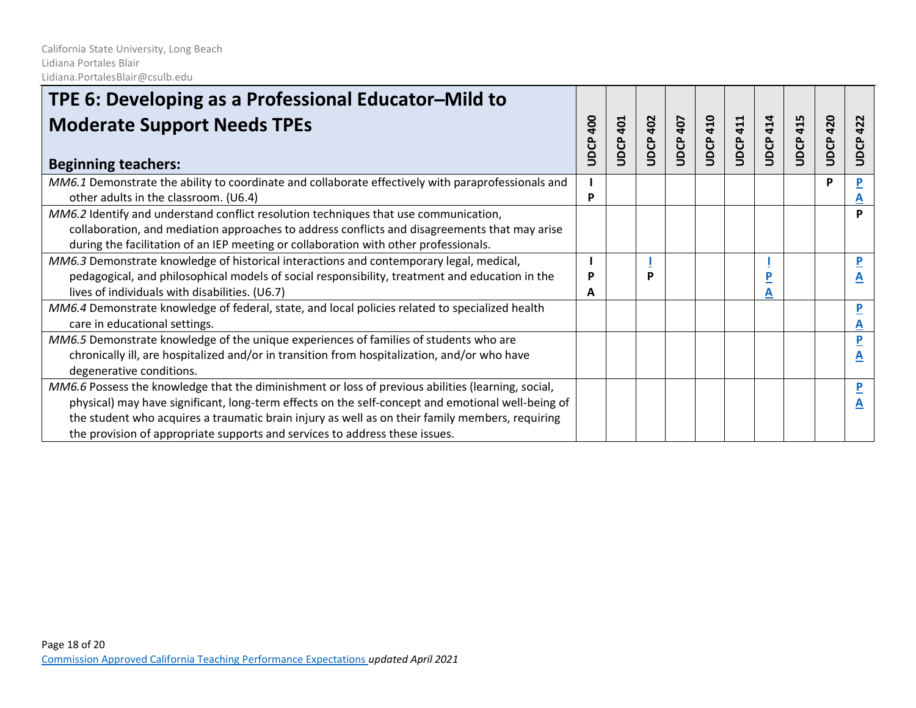| TPE 6: Developing as a Professional Educator-Mild to                                                                                                                                                                                                                                                                                                                                      |                            |             |                 |             |             |              |             |                    |                 |             |
|-------------------------------------------------------------------------------------------------------------------------------------------------------------------------------------------------------------------------------------------------------------------------------------------------------------------------------------------------------------------------------------------|----------------------------|-------------|-----------------|-------------|-------------|--------------|-------------|--------------------|-----------------|-------------|
| <b>Moderate Support Needs TPEs</b><br><b>Beginning teachers:</b>                                                                                                                                                                                                                                                                                                                          | $rac{1}{2}$<br><b>UDCP</b> | 401<br>UDCP | <b>UDCP 402</b> | 407<br>UDCP | 410<br>UDCP | 411<br>UDCP. | 414<br>UDCP | 415<br><b>UDCP</b> | <b>UDCP 420</b> | 422<br>UDCP |
| MM6.1 Demonstrate the ability to coordinate and collaborate effectively with paraprofessionals and<br>other adults in the classroom. (U6.4)                                                                                                                                                                                                                                               | P                          |             |                 |             |             |              |             |                    | P               |             |
| MM6.2 Identify and understand conflict resolution techniques that use communication,<br>collaboration, and mediation approaches to address conflicts and disagreements that may arise<br>during the facilitation of an IEP meeting or collaboration with other professionals.                                                                                                             |                            |             |                 |             |             |              |             |                    |                 | P           |
| MM6.3 Demonstrate knowledge of historical interactions and contemporary legal, medical,<br>pedagogical, and philosophical models of social responsibility, treatment and education in the<br>lives of individuals with disabilities. (U6.7)                                                                                                                                               | P<br>A                     |             | P               |             |             |              |             |                    |                 | P           |
| MM6.4 Demonstrate knowledge of federal, state, and local policies related to specialized health<br>care in educational settings.                                                                                                                                                                                                                                                          |                            |             |                 |             |             |              |             |                    |                 | P           |
| MM6.5 Demonstrate knowledge of the unique experiences of families of students who are<br>chronically ill, are hospitalized and/or in transition from hospitalization, and/or who have<br>degenerative conditions.                                                                                                                                                                         |                            |             |                 |             |             |              |             |                    |                 | P           |
| MM6.6 Possess the knowledge that the diminishment or loss of previous abilities (learning, social,<br>physical) may have significant, long-term effects on the self-concept and emotional well-being of<br>the student who acquires a traumatic brain injury as well as on their family members, requiring<br>the provision of appropriate supports and services to address these issues. |                            |             |                 |             |             |              |             |                    |                 | P           |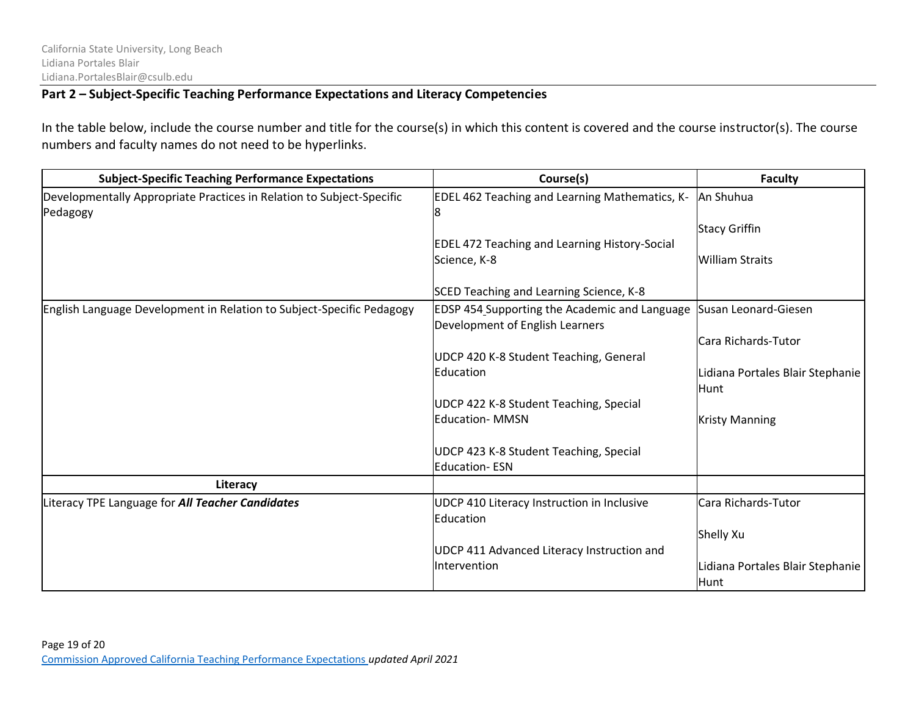### **Part 2 – Subject-Specific Teaching Performance Expectations and Literacy Competencies**

In the table below, include the course number and title for the course(s) in which this content is covered and the course instructor(s). The course numbers and faculty names do not need to be hyperlinks.

| <b>Subject-Specific Teaching Performance Expectations</b>                         | Course(s)                                                                        | <b>Faculty</b>                           |
|-----------------------------------------------------------------------------------|----------------------------------------------------------------------------------|------------------------------------------|
| Developmentally Appropriate Practices in Relation to Subject-Specific<br>Pedagogy | EDEL 462 Teaching and Learning Mathematics, K-<br>8                              | An Shuhua<br><b>Stacy Griffin</b>        |
|                                                                                   | <b>EDEL 472 Teaching and Learning History-Social</b><br>Science, K-8             | <b>William Straits</b>                   |
|                                                                                   | SCED Teaching and Learning Science, K-8                                          |                                          |
| English Language Development in Relation to Subject-Specific Pedagogy             | EDSP 454 Supporting the Academic and Language<br>Development of English Learners | Susan Leonard-Giesen                     |
|                                                                                   |                                                                                  | Cara Richards-Tutor                      |
|                                                                                   | UDCP 420 K-8 Student Teaching, General                                           |                                          |
|                                                                                   | Education                                                                        | Lidiana Portales Blair Stephanie<br>Hunt |
|                                                                                   | UDCP 422 K-8 Student Teaching, Special                                           |                                          |
|                                                                                   | <b>Education- MMSN</b>                                                           | <b>Kristy Manning</b>                    |
|                                                                                   | UDCP 423 K-8 Student Teaching, Special<br><b>Education-ESN</b>                   |                                          |
| Literacy                                                                          |                                                                                  |                                          |
| Literacy TPE Language for <i>All Teacher Candidates</i>                           | UDCP 410 Literacy Instruction in Inclusive<br>Education                          | Cara Richards-Tutor                      |
|                                                                                   |                                                                                  | Shelly Xu                                |
|                                                                                   | UDCP 411 Advanced Literacy Instruction and                                       |                                          |
|                                                                                   | Intervention                                                                     | Lidiana Portales Blair Stephanie<br>Hunt |